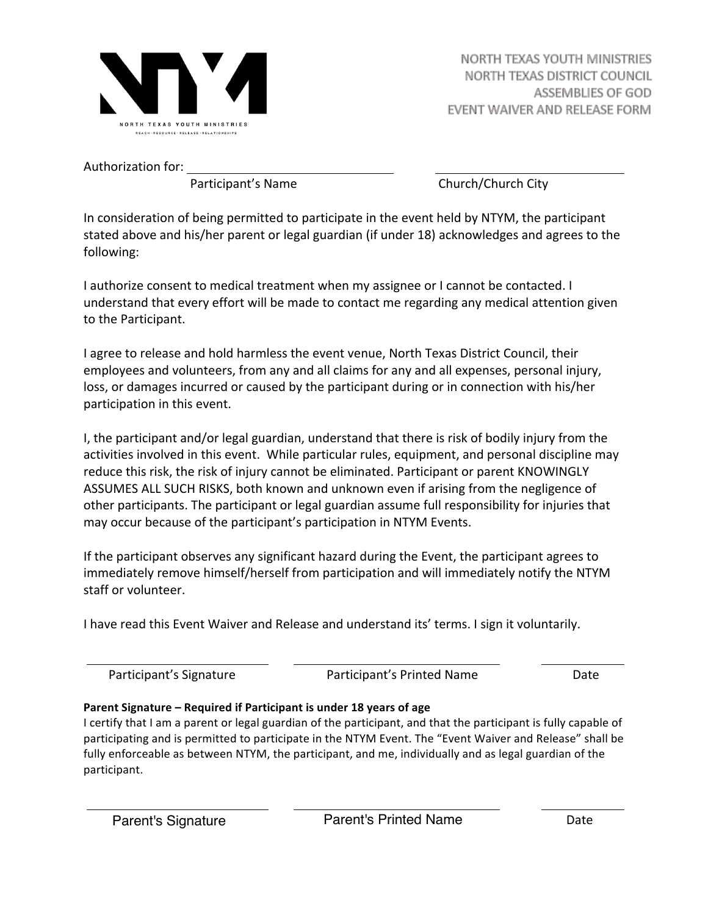

Authorization for:

Participant's Name **Branch** Church/Church City

In consideration of being permitted to participate in the event held by NTYM, the participant stated above and his/her parent or legal guardian (if under 18) acknowledges and agrees to the following:

I authorize consent to medical treatment when my assignee or I cannot be contacted. I understand that every effort will be made to contact me regarding any medical attention given to the Participant.

I agree to release and hold harmless the event venue, North Texas District Council, their employees and volunteers, from any and all claims for any and all expenses, personal injury, loss, or damages incurred or caused by the participant during or in connection with his/her participation in this event.

I, the participant and/or legal guardian, understand that there is risk of bodily injury from the activities involved in this event. While particular rules, equipment, and personal discipline may reduce this risk, the risk of injury cannot be eliminated. Participant or parent KNOWINGLY ASSUMES ALL SUCH RISKS, both known and unknown even if arising from the negligence of other participants. The participant or legal guardian assume full responsibility for injuries that may occur because of the participant's participation in NTYM Events.

If the participant observes any significant hazard during the Event, the participant agrees to immediately remove himself/herself from participation and will immediately notify the NTYM staff or volunteer.

I have read this Event Waiver and Release and understand its' terms. I sign it voluntarily.

Participant's Signature **The Contract of Participant's** Printed Name *Date* 

## **Parent Signature – Required if Participant is under 18 years of age**

I certify that I am a parent or legal guardian of the participant, and that the participant is fully capable of participating and is permitted to participate in the NTYM Event. The "Event Waiver and Release" shall be fully enforceable as between NTYM, the participant, and me, individually and as legal guardian of the participant.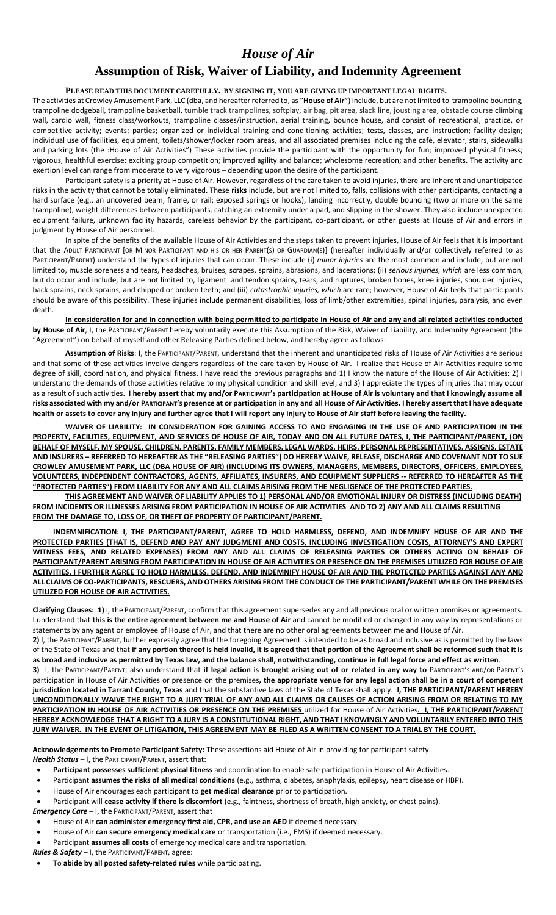# *House of Air*

## **Assumption of Risk, Waiver of Liability, and Indemnity Agreement**

#### **PLEASE READ THIS DOCUMENT CAREFULLY. BY SIGNING IT, YOU ARE GIVING UP IMPORTANT LEGAL RIGHTS.**

The activities at Crowley Amusement Park, LLC (dba, and hereafter referred to, as "**House of Air"**) include, but are not limited to trampoline bouncing, trampoline dodgeball, trampoline basketball, tumble track trampolines, softplay, air bag, pit area, slack line, jousting area, obstacle course climbing wall, cardio wall, fitness class/workouts, trampoline classes/instruction, aerial training, bounce house, and consist of recreational, practice, or competitive activity; events; parties; organized or individual training and conditioning activities; tests, classes, and instruction; facility design; individual use of facilities, equipment, toilets/shower/locker room areas, and all associated premises including the café, elevator, stairs, sidewalks and parking lots (the :House of Air Activities") These activities provide the participant with the opportunity for fun; improved physical fitness; vigorous, healthful exercise; exciting group competition; improved agility and balance; wholesome recreation; and other benefits. The activity and exertion level can range from moderate to very vigorous – depending upon the desire of the participant.

Participant safety is a priority at House of Air. However, regardless of the care taken to avoid injuries, there are inherent and unanticipated risks in the activity that cannot be totally eliminated. These **risks** include, but are not limited to, falls, collisions with other participants, contacting a hard surface (e.g., an uncovered beam, frame, or rail; exposed springs or hooks), landing incorrectly, double bouncing (two or more on the same trampoline), weight differences between participants, catching an extremity under a pad, and slipping in the shower. They also include unexpected equipment failure, unknown facility hazards, careless behavior by the participant, co-participant, or other guests at House of Air and errors in judgment by House of Air personnel.

In spite of the benefits of the available House of Air Activities and the steps taken to prevent injuries, House of Air feels that it is important that the ADULT PARTICIPANT [OR MINOR PARTICIPANT AND HIS OR HER PARENT(S) OR GUARDIAN(S)] (hereafter individually and/or collectively referred to as PARTICIPANT/PARENT) understand the types of injuries that can occur. These include (i) *minor injuries* are the most common and include, but are not limited to, muscle soreness and tears, headaches, bruises, scrapes, sprains, abrasions, and lacerations; (ii) *serious injuries, which* are less common, but do occur and include, but are not limited to, ligament and tendon sprains, tears, and ruptures, broken bones, knee injuries, shoulder injuries, back sprains, neck sprains, and chipped or broken teeth; and (iii) *catastrophic injuries, which* are rare; however, House of Air feels that participants should be aware of this possibility. These injuries include permanent disabilities, loss of limb/other extremities, spinal injuries, paralysis, and even death.

**In consideration for and in connection with being permitted to participate in House of Air and any and all related activities conducted by House of Air**, I, the PARTICIPANT/PARENT hereby voluntarily execute this Assumption of the Risk, Waiver of Liability, and Indemnity Agreement (the "Agreement") on behalf of myself and other Releasing Parties defined below, and hereby agree as follows:

**Assumption of Risks**: I, the PARTICIPANT/PARENT, understand that the inherent and unanticipated risks of House of Air Activities are serious and that some of these activities involve dangers regardless of the care taken by House of Air. I realize that House of Air Activities require some degree of skill, coordination, and physical fitness. I have read the previous paragraphs and 1) I know the nature of the House of Air Activities; 2) I understand the demands of those activities relative to my physical condition and skill level; and 3) I appreciate the types of injuries that may occur as a result of such activities. **I hereby assert that my and/or PARTICIPANT'S participation at House of Air is voluntary and that I knowingly assume all risks associated with my and/or PARTICIPANT'S presence at or participation in any and all House of Air Activities. I hereby assert that I have adequate health or assets to cover any injury and further agree that I will report any injury to House of Air staff before leaving the facility.** 

**WAIVER OF LIABILITY: IN CONSIDERATION FOR GAINING ACCESS TO AND ENGAGING IN THE USE OF AND PARTICIPATION IN THE PROPERTY, FACILITIES, EQUIPMENT, AND SERVICES OF HOUSE OF AIR, TODAY AND ON ALL FUTURE DATES, I, THE PARTICIPANT/PARENT, (ON BEHALF OF MYSELF, MY SPOUSE, CHILDREN, PARENTS, FAMILY MEMBERS, LEGAL WARDS, HEIRS, PERSONAL REPRESENTATIVES, ASSIGNS, ESTATE AND INSURERS – REFERRED TO HEREAFTER AS THE "RELEASING PARTIES") DO HEREBY WAIVE, RELEASE, DISCHARGE AND COVENANT NOT TO SUE CROWLEY AMUSEMENT PARK, LLC (DBA HOUSE OF AIR) (INCLUDING ITS OWNERS, MANAGERS, MEMBERS, DIRECTORS, OFFICERS, EMPLOYEES, VOLUNTEERS, INDEPENDENT CONTRACTORS, AGENTS, AFFILIATES, INSURERS, AND EQUIPMENT SUPPLIERS -- REFERRED TO HEREAFTER AS THE "PROTECTED PARTIES") FROM LIABILITY FOR ANY AND ALL CLAIMS ARISING FROM THE NEGLIGENCE OF THE PROTECTED PARTIES.** 

**THIS AGREEMENT AND WAIVER OF LIABILITY APPLIES TO 1) PERSONAL AND/OR EMOTIONAL INJURY OR DISTRESS (INCLUDING DEATH) FROM INCIDENTS OR ILLNESSES ARISING FROM PARTICIPATION IN HOUSE OF AIR ACTIVITIES AND TO 2) ANY AND ALL CLAIMS RESULTING FROM THE DAMAGE TO, LOSS OF, OR THEFT OF PROPERTY OF PARTICIPANT/PARENT.**

**INDEMNIFICATION: I, THE PARTICIPANT/PARENT, AGREE TO HOLD HARMLESS, DEFEND, AND INDEMNIFY HOUSE OF AIR AND THE PROTECTED PARTIES (THAT IS, DEFEND AND PAY ANY JUDGMENT AND COSTS, INCLUDING INVESTIGATION COSTS, ATTORNEY'S AND EXPERT WITNESS FEES, AND RELATED EXPENSES) FROM ANY AND ALL CLAIMS OF RELEASING PARTIES OR OTHERS ACTING ON BEHALF OF PARTICIPANT/PARENT ARISING FROM PARTICIPATION IN HOUSE OF AIR ACTIVITIES OR PRESENCE ON THE PREMISES UTILIZED FOR HOUSE OF AIR ACTIVITIES. I FURTHER AGREE TO HOLD HARMLESS, DEFEND, AND INDEMNIFY HOUSE OF AIR AND THE PROTECTED PARTIES AGAINST ANY AND ALL CLAIMS OF CO-PARTICIPANTS, RESCUERS, AND OTHERS ARISING FROM THE CONDUCT OF THE PARTICIPANT/PARENT WHILE ON THE PREMISES UTILIZED FOR HOUSE OF AIR ACTIVITIES.**

**Clarifying Clauses: 1)** I, the PARTICIPANT/PARENT, confirm that this agreement supersedes any and all previous oral or written promises or agreements. I understand that **this is the entire agreement between me and House of Air** and cannot be modified or changed in any way by representations or statements by any agent or employee of House of Air, and that there are no other oral agreements between me and House of Air.

**2)** I, the PARTICIPANT/PARENT, further expressly agree that the foregoing Agreement is intended to be as broad and inclusive as is permitted by the laws of the State of Texas and that **if any portion thereof is held invalid, it is agreed that that portion of the Agreement shall be reformed such that it is as broad and inclusive as permitted by Texas law, and the balance shall, notwithstanding, continue in full legal force and effect as written**.

3) I, the PARTICIPANT/PARENT, also understand that if legal action is brought arising out of or related in any way to PARTICIPANT's AND/OR PARENT's participation in House of Air Activities or presence on the premises**, the appropriate venue for any legal action shall be in a court of competent jurisdiction located in Tarrant County, Texas** and that the substantive laws of the State of Texas shall apply. **I, THE PARTICIPANT/PARENT HEREBY UNCONDITIONALLY WAIVE THE RIGHT TO A JURY TRIAL OF ANY AND ALL CLAIMS OR CAUSES OF ACTION ARISING FROM OR RELATING TO MY PARTICIPATION IN HOUSE OF AIR ACTIVITIES OR PRESENCE ON THE PREMISES** utilized for House of Air Activities**. I, THE PARTICIPANT/PARENT HEREBY ACKNOWLEDGE THAT A RIGHT TO A JURY IS A CONSTITUTIONAL RIGHT, AND THAT I KNOWINGLY AND VOLUNTARILY ENTERED INTO THIS JURY WAIVER. IN THE EVENT OF LITIGATION, THIS AGREEMENT MAY BE FILED AS A WRITTEN CONSENT TO A TRIAL BY THE COURT.**

**Acknowledgements to Promote Participant Safety:** These assertions aid House of Air in providing for participant safety.

*Health Status* – I, the PARTICIPANT/PARENT, assert that:

- **Participant possesses sufficient physical fitness** and coordination to enable safe participation in House of Air Activities.
- Participant **assumes the risks of all medical conditions** (e.g., asthma, diabetes, anaphylaxis, epilepsy, heart disease or HBP).
- House of Air encourages each participant to **get medical clearance** prior to participation.
- Participant will **cease activity if there is discomfort** (e.g., faintness, shortness of breath, high anxiety, or chest pains).

*Emergency Care* – I, the PARTICIPANT/PARENT**,** assert that

- House of Air **can administer emergency first aid, CPR, and use an AED** if deemed necessary.
- House of Air **can secure emergency medical care** or transportation (i.e., EMS) if deemed necessary.
- Participant **assumes all costs** of emergency medical care and transportation.
- *Rules & Safety* I, the PARTICIPANT/PARENT, agree:
- To **abide by all posted safety-related rules** while participating.